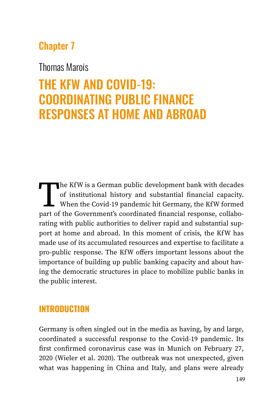# Chapter 7

# Thomas Marois

# THE KFW AND COVID-19: COORDINATING PUBLIC FINANCE RESPONSES AT HOME AND ABROAD

The KfW is a German public development bank with decades<br>of institutional history and substantial financial capacity.<br>When the Covid-19 pandemic hit Germany, the KfW formed<br>part of the Government's coordinated financial re of institutional history and substantial financial capacity. When the Covid-19 pandemic hit Germany, the KfW formed part of the Government's coordinated financial response, collaborating with public authorities to deliver rapid and substantial support at home and abroad. In this moment of crisis, the KfW has made use of its accumulated resources and expertise to facilitate a pro-public response. The KfW offers important lessons about the importance of building up public banking capacity and about having the democratic structures in place to mobilize public banks in the public interest.

# **INTRODUCTION**

Germany is often singled out in the media as having, by and large, coordinated a successful response to the Covid-19 pandemic. Its first confirmed coronavirus case was in Munich on February 27, 2020 (Wieler et al. 2020). The outbreak was not unexpected, given what was happening in China and Italy, and plans were already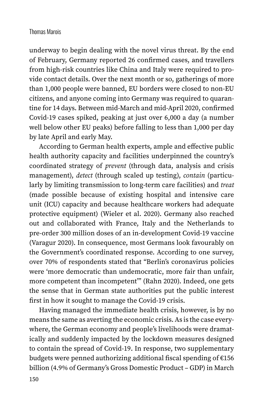underway to begin dealing with the novel virus threat. By the end of February, Germany reported 26 confirmed cases, and travellers from high-risk countries like China and Italy were required to provide contact details. Over the next month or so, gatherings of more than 1,000 people were banned, EU borders were closed to non-EU citizens, and anyone coming into Germany was required to quarantine for 14 days. Between mid-March and mid-April 2020, confirmed Covid-19 cases spiked, peaking at just over 6,000 a day (a number well below other EU peaks) before falling to less than 1,000 per day by late April and early May.

According to German health experts, ample and effective public health authority capacity and facilities underpinned the country's coordinated strategy of *prevent* (through data, analysis and crisis management), *detect* (through scaled up testing), *contain* (particularly by limiting transmission to long-term care facilities) and *treat* (made possible because of existing hospital and intensive care unit (ICU) capacity and because healthcare workers had adequate protective equipment) (Wieler et al. 2020). Germany also reached out and collaborated with France, Italy and the Netherlands to pre-order 300 million doses of an in-development Covid-19 vaccine (Varagur 2020). In consequence, most Germans look favourably on the Government's coordinated response. According to one survey, over 70% of respondents stated that "Berlin's coronavirus policies were 'more democratic than undemocratic, more fair than unfair, more competent than incompetent'" (Rahn 2020). Indeed, one gets the sense that in German state authorities put the public interest first in how it sought to manage the Covid-19 crisis.

Having managed the immediate health crisis, however, is by no means the same as averting the economic crisis. As is the case everywhere, the German economy and people's livelihoods were dramatically and suddenly impacted by the lockdown measures designed to contain the spread of Covid-19. In response, two supplementary budgets were penned authorizing additional fiscal spending of €156 billion (4.9% of Germany's Gross Domestic Product – GDP) in March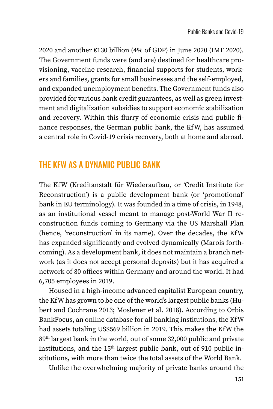2020 and another €130 billion (4% of GDP) in June 2020 (IMF 2020). The Government funds were (and are) destined for healthcare provisioning, vaccine research, financial supports for students, workers and families, grants for small businesses and the self-employed, and expanded unemployment benefits. The Government funds also provided for various bank credit guarantees, as well as green investment and digitalization subsidies to support economic stabilization and recovery. Within this flurry of economic crisis and public finance responses, the German public bank, the KfW, has assumed a central role in Covid-19 crisis recovery, both at home and abroad.

# THE KFW AS A DYNAMIC PUBLIC BANK

The KfW (Kreditanstalt für Wiederaufbau, or 'Credit Institute for Reconstruction') is a public development bank (or 'promotional' bank in EU terminology). It was founded in a time of crisis, in 1948, as an institutional vessel meant to manage post-World War II reconstruction funds coming to Germany via the US Marshall Plan (hence, 'reconstruction' in its name). Over the decades, the KfW has expanded significantly and evolved dynamically (Marois forthcoming). As a development bank, it does not maintain a branch network (as it does not accept personal deposits) but it has acquired a network of 80 offices within Germany and around the world. It had 6,705 employees in 2019.

Housed in a high-income advanced capitalist European country, the KfW has grown to be one of the world's largest public banks (Hubert and Cochrane 2013; Moslener et al. 2018). According to Orbis BankFocus, an online database for all banking institutions, the KfW had assets totaling US\$569 billion in 2019. This makes the KfW the 89th largest bank in the world, out of some 32,000 public and private institutions, and the  $15<sup>th</sup>$  largest public bank, out of 910 public institutions, with more than twice the total assets of the World Bank.

Unlike the overwhelming majority of private banks around the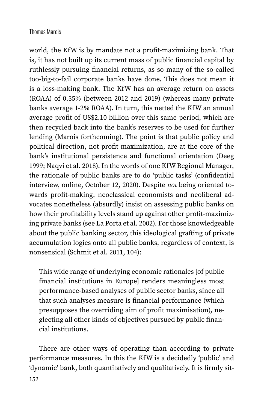world, the KfW is by mandate not a profit-maximizing bank. That is, it has not built up its current mass of public financial capital by ruthlessly pursuing financial returns, as so many of the so-called too-big-to-fail corporate banks have done. This does not mean it is a loss-making bank. The KfW has an average return on assets (ROAA) of 0.35% (between 2012 and 2019) (whereas many private banks average 1-2% ROAA). In turn, this netted the KfW an annual average profit of US\$2.10 billion over this same period, which are then recycled back into the bank's reserves to be used for further lending (Marois forthcoming). The point is that public policy and political direction, not profit maximization, are at the core of the bank's institutional persistence and functional orientation (Deeg 1999; Naqvi et al. 2018). In the words of one KfW Regional Manager, the rationale of public banks are to do 'public tasks' (confidential interview, online, October 12, 2020). Despite *not* being oriented towards profit-making, neoclassical economists and neoliberal advocates nonetheless (absurdly) insist on assessing public banks on how their profitability levels stand up against other profit-maximizing private banks (see La Porta et al. 2002). For those knowledgeable about the public banking sector, this ideological grafting of private accumulation logics onto all public banks, regardless of context, is nonsensical (Schmit et al. 2011, 104):

This wide range of underlying economic rationales [of public financial institutions in Europe] renders meaningless most performance-based analyses of public sector banks, since all that such analyses measure is financial performance (which presupposes the overriding aim of profit maximisation), neglecting all other kinds of objectives pursued by public financial institutions.

There are other ways of operating than according to private performance measures. In this the KfW is a decidedly 'public' and 'dynamic' bank, both quantitatively and qualitatively. It is firmly sit-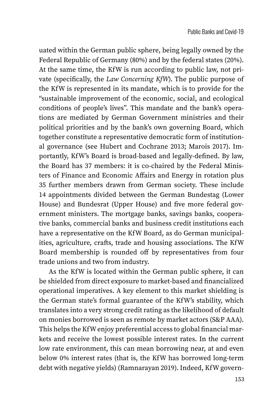uated within the German public sphere, being legally owned by the Federal Republic of Germany (80%) and by the federal states (20%). At the same time, the KfW is run according to public law, not private (specifically, the *Law Concerning KfW*). The public purpose of the KfW is represented in its mandate, which is to provide for the "sustainable improvement of the economic, social, and ecological conditions of people's lives". This mandate and the bank's operations are mediated by German Government ministries and their political priorities and by the bank's own governing Board, which together constitute a representative democratic form of institutional governance (see Hubert and Cochrane 2013; Marois 2017). Importantly, KfW's Board is broad-based and legally-defined. By law, the Board has 37 members: it is co-chaired by the Federal Ministers of Finance and Economic Affairs and Energy in rotation plus 35 further members drawn from German society. These include 14 appointments divided between the German Bundestag (Lower House) and Bundesrat (Upper House) and five more federal government ministers. The mortgage banks, savings banks, cooperative banks, commercial banks and business credit institutions each have a representative on the KfW Board, as do German municipalities, agriculture, crafts, trade and housing associations. The KfW Board membership is rounded off by representatives from four trade unions and two from industry.

As the KfW is located within the German public sphere, it can be shielded from direct exposure to market-based and financialized operational imperatives. A key element to this market shielding is the German state's formal guarantee of the KfW's stability, which translates into a very strong credit rating as the likelihood of default on monies borrowed is seen as remote by market actors (S&P AAA). This helps the KfW enjoy preferential access to global financial markets and receive the lowest possible interest rates. In the current low rate environment, this can mean borrowing near, at and even below 0% interest rates (that is, the KfW has borrowed long-term debt with negative yields) (Ramnarayan 2019). Indeed, KfW govern-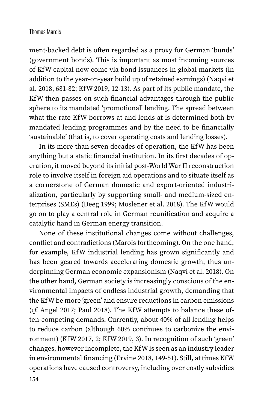ment-backed debt is often regarded as a proxy for German 'bunds' (government bonds). This is important as most incoming sources of KfW capital now come via bond issuances in global markets (in addition to the year-on-year build up of retained earnings) (Naqvi et al. 2018, 681-82; KfW 2019, 12-13). As part of its public mandate, the KfW then passes on such financial advantages through the public sphere to its mandated 'promotional' lending. The spread between what the rate KfW borrows at and lends at is determined both by mandated lending programmes and by the need to be financially 'sustainable' (that is, to cover operating costs and lending losses).

In its more than seven decades of operation, the KfW has been anything but a static financial institution. In its first decades of operation, it moved beyond its initial post-World War II reconstruction role to involve itself in foreign aid operations and to situate itself as a cornerstone of German domestic and export-oriented industrialization, particularly by supporting small- and medium-sized enterprises (SMEs) (Deeg 1999; Moslener et al. 2018). The KfW would go on to play a central role in German reunification and acquire a catalytic hand in German energy transition.

None of these institutional changes come without challenges, conflict and contradictions (Marois forthcoming). On the one hand, for example, KfW industrial lending has grown significantly and has been geared towards accelerating domestic growth, thus underpinning German economic expansionism (Naqvi et al. 2018). On the other hand, German society is increasingly conscious of the environmental impacts of endless industrial growth, demanding that the KfW be more 'green' and ensure reductions in carbon emissions (*cf.* Angel 2017; Paul 2018). The KfW attempts to balance these often-competing demands. Currently, about 40% of all lending helps to reduce carbon (although 60% continues to carbonize the environment) (KfW 2017, 2; KfW 2019, 3). In recognition of such 'green' changes, however incomplete, the KfW is seen as an industry leader in environmental financing (Ervine 2018, 149-51). Still, at times KfW operations have caused controversy, including over costly subsidies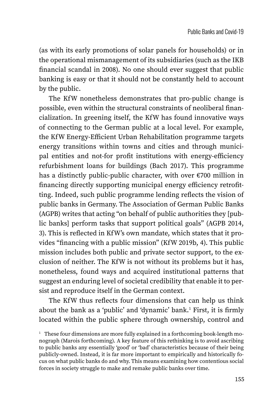(as with its early promotions of solar panels for households) or in the operational mismanagement of its subsidiaries (such as the IKB financial scandal in 2008). No one should ever suggest that public banking is easy or that it should not be constantly held to account by the public.

The KfW nonetheless demonstrates that pro-public change is possible, even within the structural constraints of neoliberal financialization. In greening itself, the KfW has found innovative ways of connecting to the German public at a local level. For example, the KfW Energy-Efficient Urban Rehabilitation programme targets energy transitions within towns and cities and through municipal entities and not-for profit institutions with energy-efficiency refurbishment loans for buildings (Bach 2017). This programme has a distinctly public-public character, with over €700 million in financing directly supporting municipal energy efficiency retrofitting. Indeed, such public programme lending reflects the vision of public banks in Germany. The Association of German Public Banks (AGPB) writes that acting "on behalf of public authorities they [public banks] perform tasks that support political goals" (AGPB 2014, 3). This is reflected in KfW's own mandate, which states that it provides "financing with a public mission" (KfW 2019b, 4). This public mission includes both public and private sector support, to the exclusion of neither. The KfW is not without its problems but it has, nonetheless, found ways and acquired institutional patterns that suggest an enduring level of societal credibility that enable it to persist and reproduce itself in the German context.

The KfW thus reflects four dimensions that can help us think about the bank as a 'public' and 'dynamic' bank.<sup>1</sup> First, it is firmly located within the public sphere through ownership, control and

 $1$  These four dimensions are more fully explained in a forthcoming book-length monograph (Marois forthcoming). A key feature of this rethinking is to avoid ascribing to public banks any essentially 'good' or 'bad' characteristics because of their being publicly-owned. Instead, it is far more important to empirically and historically focus on what public banks do and why. This means examining how contentious social forces in society struggle to make and remake public banks over time.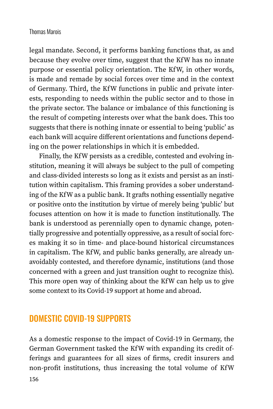legal mandate. Second, it performs banking functions that, as and because they evolve over time, suggest that the KfW has no innate purpose or essential policy orientation. The KfW, in other words, is made and remade by social forces over time and in the context of Germany. Third, the KfW functions in public and private interests, responding to needs within the public sector and to those in the private sector. The balance or imbalance of this functioning is the result of competing interests over what the bank does. This too suggests that there is nothing innate or essential to being 'public' as each bank will acquire different orientations and functions depending on the power relationships in which it is embedded.

Finally, the KfW persists as a credible, contested and evolving institution, meaning it will always be subject to the pull of competing and class-divided interests so long as it exists and persist as an institution within capitalism. This framing provides a sober understanding of the KfW as a public bank. It grafts nothing essentially negative or positive onto the institution by virtue of merely being 'public' but focuses attention on how it is made to function institutionally. The bank is understood as perennially open to dynamic change, potentially progressive and potentially oppressive, as a result of social forces making it so in time- and place-bound historical circumstances in capitalism. The KfW, and public banks generally, are already unavoidably contested, and therefore dynamic, institutions (and those concerned with a green and just transition ought to recognize this). This more open way of thinking about the KfW can help us to give some context to its Covid-19 support at home and abroad.

# DOMESTIC COVID-19 SUPPORTS

As a domestic response to the impact of Covid-19 in Germany, the German Government tasked the KfW with expanding its credit offerings and guarantees for all sizes of firms, credit insurers and non-profit institutions, thus increasing the total volume of KfW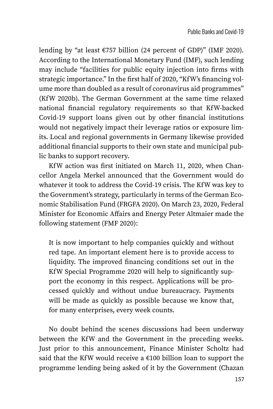lending by "at least €757 billion (24 percent of GDP)" (IMF 2020). According to the International Monetary Fund (IMF), such lending may include "facilities for public equity injection into firms with strategic importance." In the first half of 2020, "KfW's financing volume more than doubled as a result of coronavirus aid programmes" (KfW 2020b). The German Government at the same time relaxed national financial regulatory requirements so that KfW-backed Covid-19 support loans given out by other financial institutions would not negatively impact their leverage ratios or exposure limits. Local and regional governments in Germany likewise provided additional financial supports to their own state and municipal public banks to support recovery.

KfW action was first initiated on March 11, 2020, when Chancellor Angela Merkel announced that the Government would do whatever it took to address the Covid-19 crisis. The KfW was key to the Government's strategy, particularly in terms of the German Economic Stabilisation Fund (FRGFA 2020). On March 23, 2020, Federal Minister for Economic Affairs and Energy Peter Altmaier made the following statement (FMF 2020):

It is now important to help companies quickly and without red tape. An important element here is to provide access to liquidity. The improved financing conditions set out in the KfW Special Programme 2020 will help to significantly support the economy in this respect. Applications will be processed quickly and without undue bureaucracy. Payments will be made as quickly as possible because we know that, for many enterprises, every week counts.

No doubt behind the scenes discussions had been underway between the KfW and the Government in the preceding weeks. Just prior to this announcement, Finance Minister Scholtz had said that the KfW would receive a  $€100$  billion loan to support the programme lending being asked of it by the Government (Chazan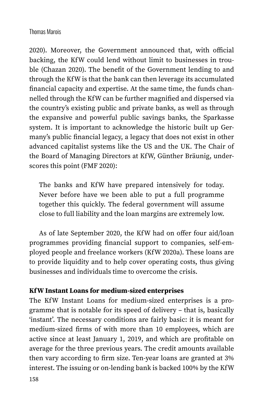2020). Moreover, the Government announced that, with official backing, the KfW could lend without limit to businesses in trouble (Chazan 2020). The benefit of the Government lending to and through the KfW is that the bank can then leverage its accumulated financial capacity and expertise. At the same time, the funds channelled through the KfW can be further magnified and dispersed via the country's existing public and private banks, as well as through the expansive and powerful public savings banks, the Sparkasse system. It is important to acknowledge the historic built up Germany's public financial legacy, a legacy that does not exist in other advanced capitalist systems like the US and the UK. The Chair of the Board of Managing Directors at KfW, Günther Bräunig, underscores this point (FMF 2020):

The banks and KfW have prepared intensively for today. Never before have we been able to put a full programme together this quickly. The federal government will assume close to full liability and the loan margins are extremely low.

As of late September 2020, the KfW had on offer four aid/loan programmes providing financial support to companies, self-employed people and freelance workers (KfW 2020a). These loans are to provide liquidity and to help cover operating costs, thus giving businesses and individuals time to overcome the crisis.

## **KfW Instant Loans for medium-sized enterprises**

The KfW Instant Loans for medium-sized enterprises is a programme that is notable for its speed of delivery – that is, basically 'instant'. The necessary conditions are fairly basic: it is meant for medium-sized firms of with more than 10 employees, which are active since at least January 1, 2019, and which are profitable on average for the three previous years. The credit amounts available then vary according to firm size. Ten-year loans are granted at 3% interest. The issuing or on-lending bank is backed 100% by the KfW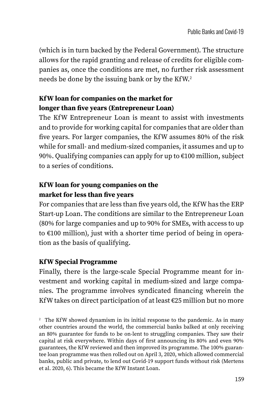(which is in turn backed by the Federal Government). The structure allows for the rapid granting and release of credits for eligible companies as, once the conditions are met, no further risk assessment needs be done by the issuing bank or by the KfW.2

## **KfW loan for companies on the market for longer than five years (Entrepreneur Loan)**

The KfW Entrepreneur Loan is meant to assist with investments and to provide for working capital for companies that are older than five years. For larger companies, the KfW assumes 80% of the risk while for small- and medium-sized companies, it assumes and up to 90%. Qualifying companies can apply for up to €100 million, subject to a series of conditions.

## **KfW loan for young companies on the market for less than five years**

For companies that are less than five years old, the KfW has the ERP Start-up Loan. The conditions are similar to the Entrepreneur Loan (80% for large companies and up to 90% for SMEs, with access to up to €100 million), just with a shorter time period of being in operation as the basis of qualifying.

## **KfW Special Programme**

Finally, there is the large-scale Special Programme meant for investment and working capital in medium-sized and large companies. The programme involves syndicated financing wherein the KfW takes on direct participation of at least  $\epsilon$ 25 million but no more

<sup>2</sup> The KfW showed dynamism in its initial response to the pandemic. As in many other countries around the world, the commercial banks balked at only receiving an 80% guarantee for funds to be on-lent to struggling companies. They saw their capital at risk everywhere. Within days of first announcing its 80% and even 90% guarantees, the KfW reviewed and then improved its programme. The 100% guarantee loan programme was then rolled out on April 3, 2020, which allowed commercial banks, public and private, to lend out Covid-19 support funds without risk (Mertens et al. 2020, 6). This became the KfW Instant Loan.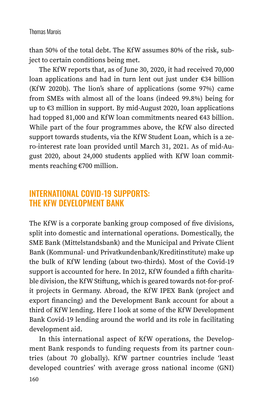than 50% of the total debt. The KfW assumes 80% of the risk, subject to certain conditions being met.

The KfW reports that, as of June 30, 2020, it had received 70,000 loan applications and had in turn lent out just under €34 billion (KfW 2020b). The lion's share of applications (some 97%) came from SMEs with almost all of the loans (indeed 99.8%) being for up to €3 million in support. By mid-August 2020, loan applications had topped 81,000 and KfW loan commitments neared €43 billion. While part of the four programmes above, the KfW also directed support towards students, via the KfW Student Loan, which is a zero-interest rate loan provided until March 31, 2021. As of mid-August 2020, about 24,000 students applied with KfW loan commitments reaching €700 million.

# INTERNATIONAL COVID-19 SUPPORTS: THE KFW DEVELOPMENT BANK

The KfW is a corporate banking group composed of five divisions, split into domestic and international operations. Domestically, the SME Bank (Mittelstandsbank) and the Municipal and Private Client Bank (Kommunal- und Privatkundenbank/Kreditinstitute) make up the bulk of KfW lending (about two-thirds). Most of the Covid-19 support is accounted for here. In 2012, KfW founded a fifth charitable division, the KfW Stiftung, which is geared towards not-for-profit projects in Germany. Abroad, the KfW IPEX Bank (project and export financing) and the Development Bank account for about a third of KfW lending. Here I look at some of the KfW Development Bank Covid-19 lending around the world and its role in facilitating development aid.

In this international aspect of KfW operations, the Development Bank responds to funding requests from its partner countries (about 70 globally). KfW partner countries include 'least developed countries' with average gross national income (GNI)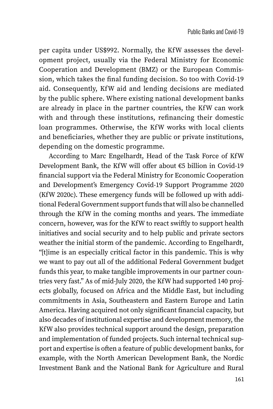per capita under US\$992. Normally, the KfW assesses the development project, usually via the Federal Ministry for Economic Cooperation and Development (BMZ) or the European Commission, which takes the final funding decision. So too with Covid-19 aid. Consequently, KfW aid and lending decisions are mediated by the public sphere. Where existing national development banks are already in place in the partner countries, the KfW can work with and through these institutions, refinancing their domestic loan programmes. Otherwise, the KfW works with local clients and beneficiaries, whether they are public or private institutions, depending on the domestic programme.

According to Marc Engelhardt, Head of the Task Force of KfW Development Bank, the KfW will offer about €5 billion in Covid-19 financial support via the Federal Ministry for Economic Cooperation and Development's Emergency Covid-19 Support Programme 2020 (KfW 2020c). These emergency funds will be followed up with additional Federal Government support funds that will also be channelled through the KfW in the coming months and years. The immediate concern, however, was for the KfW to react swiftly to support health initiatives and social security and to help public and private sectors weather the initial storm of the pandemic. According to Engelhardt, "[t]ime is an especially critical factor in this pandemic. This is why we want to pay out all of the additional Federal Government budget funds this year, to make tangible improvements in our partner countries very fast." As of mid-July 2020, the KfW had supported 140 projects globally, focused on Africa and the Middle East, but including commitments in Asia, Southeastern and Eastern Europe and Latin America. Having acquired not only significant financial capacity, but also decades of institutional expertise and development memory, the KfW also provides technical support around the design, preparation and implementation of funded projects. Such internal technical support and expertise is often a feature of public development banks, for example, with the North American Development Bank, the Nordic Investment Bank and the National Bank for Agriculture and Rural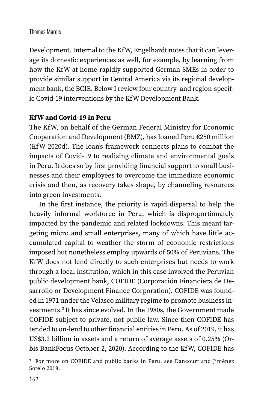Development. Internal to the KfW, Engelhardt notes that it can leverage its domestic experiences as well, for example, by learning from how the KfW at home rapidly supported German SMEs in order to provide similar support in Central America via its regional development bank, the BCIE. Below I review four country- and region-specific Covid-19 interventions by the KfW Development Bank.

#### **KfW and Covid-19 in Peru**

The KfW, on behalf of the German Federal Ministry for Economic Cooperation and Development (BMZ), has loaned Peru €250 million (KfW 2020d). The loan's framework connects plans to combat the impacts of Covid-19 to realizing climate and environmental goals in Peru. It does so by first providing financial support to small businesses and their employees to overcome the immediate economic crisis and then, as recovery takes shape, by channeling resources into green investments.

In the first instance, the priority is rapid dispersal to help the heavily informal workforce in Peru, which is disproportionately impacted by the pandemic and related lockdowns. This meant targeting micro and small enterprises, many of which have little accumulated capital to weather the storm of economic restrictions imposed but nonetheless employ upwards of 50% of Peruvians. The KfW does not lend directly to such enterprises but needs to work through a local institution, which in this case involved the Peruvian public development bank, COFIDE (Corporación Financiera de Desarrollo or Development Finance Corporation). COFIDE was founded in 1971 under the Velasco military regime to promote business investments.<sup>3</sup> It has since evolved. In the 1980s, the Government made COFIDE subject to private, not public law. Since then COFIDE has tended to on-lend to other financial entities in Peru. As of 2019, it has US\$3.2 billion in assets and a return of average assets of 0.25% (Orbis BankFocus October 2, 2020). According to the KfW, COFIDE has

<sup>3</sup> For more on COFIDE and public banks in Peru, see Dancourt and Jiménez Sotelo 2018.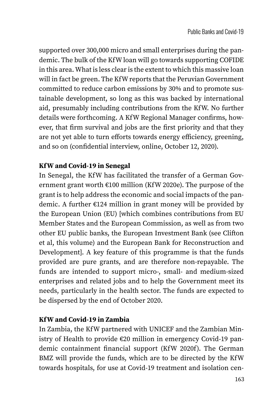supported over 300,000 micro and small enterprises during the pandemic. The bulk of the KfW loan will go towards supporting COFIDE in this area. What is less clear is the extent to which this massive loan will in fact be green. The KfW reports that the Peruvian Government committed to reduce carbon emissions by 30% and to promote sustainable development, so long as this was backed by international aid, presumably including contributions from the KfW. No further details were forthcoming. A KfW Regional Manager confirms, however, that firm survival and jobs are the first priority and that they are not yet able to turn efforts towards energy efficiency, greening, and so on (confidential interview, online, October 12, 2020).

## **KfW and Covid-19 in Senegal**

In Senegal, the KfW has facilitated the transfer of a German Government grant worth €100 million (KfW 2020e). The purpose of the grant is to help address the economic and social impacts of the pandemic. A further €124 million in grant money will be provided by the European Union (EU) [which combines contributions from EU Member States and the European Commission, as well as from two other EU public banks, the European Investment Bank (see Clifton et al, this volume) and the European Bank for Reconstruction and Development]. A key feature of this programme is that the funds provided are pure grants, and are therefore non-repayable. The funds are intended to support micro-, small- and medium-sized enterprises and related jobs and to help the Government meet its needs, particularly in the health sector. The funds are expected to be dispersed by the end of October 2020.

### **KfW and Covid-19 in Zambia**

In Zambia, the KfW partnered with UNICEF and the Zambian Ministry of Health to provide €20 million in emergency Covid-19 pandemic containment financial support (KfW 2020f). The German BMZ will provide the funds, which are to be directed by the KfW towards hospitals, for use at Covid-19 treatment and isolation cen-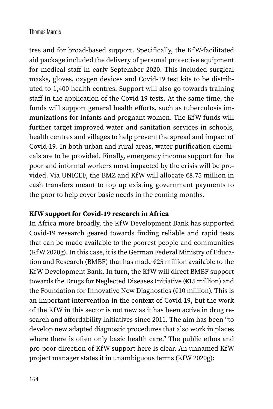tres and for broad-based support. Specifically, the KfW-facilitated aid package included the delivery of personal protective equipment for medical staff in early September 2020. This included surgical masks, gloves, oxygen devices and Covid-19 test kits to be distributed to 1,400 health centres. Support will also go towards training staff in the application of the Covid-19 tests. At the same time, the funds will support general health efforts, such as tuberculosis immunizations for infants and pregnant women. The KfW funds will further target improved water and sanitation services in schools, health centres and villages to help prevent the spread and impact of Covid-19. In both urban and rural areas, water purification chemicals are to be provided. Finally, emergency income support for the poor and informal workers most impacted by the crisis will be provided. Via UNICEF, the BMZ and KfW will allocate €8.75 million in cash transfers meant to top up existing government payments to the poor to help cover basic needs in the coming months.

### **KfW support for Covid-19 research in Africa**

In Africa more broadly, the KfW Development Bank has supported Covid-19 research geared towards finding reliable and rapid tests that can be made available to the poorest people and communities (KfW 2020g). In this case, it is the German Federal Ministry of Education and Research (BMBF) that has made €25 million available to the KfW Development Bank. In turn, the KfW will direct BMBF support towards the Drugs for Neglected Diseases Initiative (€15 million) and the Foundation for Innovative New Diagnostics (€10 million). This is an important intervention in the context of Covid-19, but the work of the KfW in this sector is not new as it has been active in drug research and affordability initiatives since 2011. The aim has been "to develop new adapted diagnostic procedures that also work in places where there is often only basic health care." The public ethos and pro-poor direction of KfW support here is clear. An unnamed KfW project manager states it in unambiguous terms (KfW 2020g):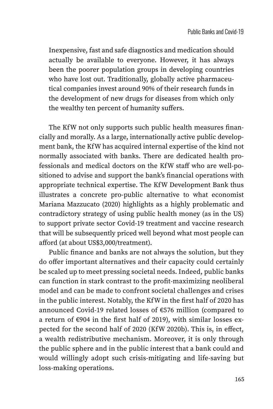Inexpensive, fast and safe diagnostics and medication should actually be available to everyone. However, it has always been the poorer population groups in developing countries who have lost out. Traditionally, globally active pharmaceutical companies invest around 90% of their research funds in the development of new drugs for diseases from which only the wealthy ten percent of humanity suffers.

The KfW not only supports such public health measures financially and morally. As a large, internationally active public development bank, the KfW has acquired internal expertise of the kind not normally associated with banks. There are dedicated health professionals and medical doctors on the KfW staff who are well-positioned to advise and support the bank's financial operations with appropriate technical expertise. The KfW Development Bank thus illustrates a concrete pro-public alternative to what economist Mariana Mazzucato (2020) highlights as a highly problematic and contradictory strategy of using public health money (as in the US) to support private sector Covid-19 treatment and vaccine research that will be subsequently priced well beyond what most people can afford (at about US\$3,000/treatment).

Public finance and banks are not always the solution, but they do offer important alternatives and their capacity could certainly be scaled up to meet pressing societal needs. Indeed, public banks can function in stark contrast to the profit-maximizing neoliberal model and can be made to confront societal challenges and crises in the public interest. Notably, the KfW in the first half of 2020 has announced Covid-19 related losses of €576 million (compared to a return of €904 in the first half of 2019), with similar losses expected for the second half of 2020 (KfW 2020b). This is, in effect, a wealth redistributive mechanism. Moreover, it is only through the public sphere and in the public interest that a bank could and would willingly adopt such crisis-mitigating and life-saving but loss-making operations.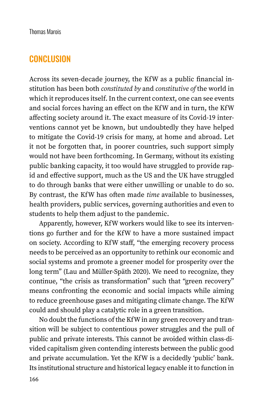# **CONCLUSION**

Across its seven-decade journey, the KfW as a public financial institution has been both *constituted by* and *constitutive of* the world in which it reproduces itself. In the current context, one can see events and social forces having an effect on the KfW and in turn, the KfW affecting society around it. The exact measure of its Covid-19 interventions cannot yet be known, but undoubtedly they have helped to mitigate the Covid-19 crisis for many, at home and abroad. Let it not be forgotten that, in poorer countries, such support simply would not have been forthcoming. In Germany, without its existing public banking capacity, it too would have struggled to provide rapid and effective support, much as the US and the UK have struggled to do through banks that were either unwilling or unable to do so. By contrast, the KfW has often made *time* available to businesses, health providers, public services, governing authorities and even to students to help them adjust to the pandemic.

Apparently, however, KfW workers would like to see its interventions go further and for the KfW to have a more sustained impact on society. According to KfW staff, "the emerging recovery process needs to be perceived as an opportunity to rethink our economic and social systems and promote a greener model for prosperity over the long term" (Lau and Müller-Späth 2020). We need to recognize, they continue, "the crisis as transformation" such that "green recovery" means confronting the economic and social impacts while aiming to reduce greenhouse gases and mitigating climate change. The KfW could and should play a catalytic role in a green transition.

No doubt the functions of the KfW in any green recovery and transition will be subject to contentious power struggles and the pull of public and private interests. This cannot be avoided within class-divided capitalism given contending interests between the public good and private accumulation. Yet the KfW is a decidedly 'public' bank. Its institutional structure and historical legacy enable it to function in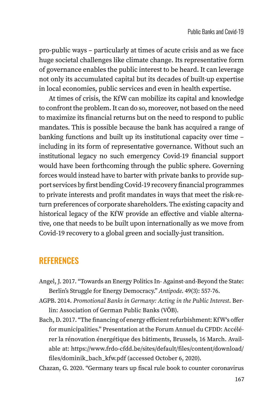pro-public ways – particularly at times of acute crisis and as we face huge societal challenges like climate change. Its representative form of governance enables the public interest to be heard. It can leverage not only its accumulated capital but its decades of built-up expertise in local economies, public services and even in health expertise.

At times of crisis, the KfW can mobilize its capital and knowledge to confront the problem. It can do so, moreover, not based on the need to maximize its financial returns but on the need to respond to public mandates. This is possible because the bank has acquired a range of banking functions and built up its institutional capacity over time – including in its form of representative governance. Without such an institutional legacy no such emergency Covid-19 financial support would have been forthcoming through the public sphere. Governing forces would instead have to barter with private banks to provide support services by first bending Covid-19 recovery financial programmes to private interests and profit mandates in ways that meet the risk-return preferences of corporate shareholders. The existing capacity and historical legacy of the KfW provide an effective and viable alternative, one that needs to be built upon internationally as we move from Covid-19 recovery to a global green and socially-just transition.

# **REFERENCES**

- Angel, J. 2017. "Towards an Energy Politics In- Against-and-Beyond the State: Berlin's Struggle for Energy Democracy." *Antipode*. 49(3): 557-76.
- AGPB. 2014. *Promotional Banks in Germany: Acting in the Public Interest*. Berlin: Association of German Public Banks (VÖB).
- Bach, D. 2017. "The financing of energy efficient refurbishment: KfW's offer for municipalities." Presentation at the Forum Annuel du CFDD: Accélérer la rénovation énergétique des bâtiments, Brussels, 16 March. Available at: [https://www.frdo-cfdd.be/sites/default/files/content/download/](https://www.frdo-cfdd.be/sites/default/files/content/download/files/dominik_bach_kfw.pdf) [files/dominik\\_bach\\_kfw.pdf](https://www.frdo-cfdd.be/sites/default/files/content/download/files/dominik_bach_kfw.pdf) (accessed October 6, 2020).

Chazan, G. 2020. "Germany tears up fiscal rule book to counter coronavirus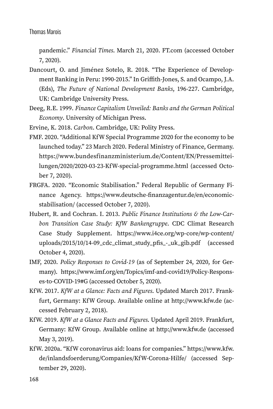pandemic." *Financial Times*. March 21, 2020. [FT.com](http://FT.com) (accessed October 7, 2020).

- Dancourt, O. and Jiménez Sotelo, R. 2018. "The Experience of Development Banking in Peru: 1990-2015." In Griffith-Jones, S. and Ocampo, J.A. (Eds), *The Future of National Development Banks*, 196-227. Cambridge, UK: Cambridge University Press.
- Deeg, R.E. 1999. *Finance Capitalism Unveiled: Banks and the German Political Economy*. University of Michigan Press.
- Ervine, K. 2018. *Carbon*. Cambridge, UK: Polity Press.
- FMF. 2020. "Additional KfW Special Programme 2020 for the economy to be launched today." 23 March 2020. Federal Ministry of Finance, Germany. [https://www.bundesfinanzministerium.de/Content/EN/Pressemittei](https://www.bundesfinanzministerium.de/Content/EN/Pressemitteilungen/2020/2020-03-23-KfW-special-programme.html)[lungen/2020/2020-03-23-KfW-special-programme.html](https://www.bundesfinanzministerium.de/Content/EN/Pressemitteilungen/2020/2020-03-23-KfW-special-programme.html) (accessed October 7, 2020).
- FRGFA. 2020. "Economic Stabilisation." Federal Republic of Germany Finance Agency. [https://www.deutsche-finanzagentur.de/en/economic](https://www.deutsche-finanzagentur.de/en/economicstabilisation/)[stabilisation/](https://www.deutsche-finanzagentur.de/en/economicstabilisation/) (accessed October 7, 2020).
- Hubert, R. and Cochran. I. 2013. *Public Finance Institutions & the Low-Carbon Transition Case Study: KfW Bankengruppe*. CDC Climat Research Case Study Supplement. [https://www.i4ce.org/wp-core/wp-content/](https://www.i4ce.org/wp-core/wp-content/uploads/2015/10/14-09_cdc_climat_study_pfis_-_uk_gib.pdf) [uploads/2015/10/14-09\\_cdc\\_climat\\_study\\_pfis\\_-\\_uk\\_gib.pdf](https://www.i4ce.org/wp-core/wp-content/uploads/2015/10/14-09_cdc_climat_study_pfis_-_uk_gib.pdf) (accessed October 4, 2020).
- IMF, 2020. *Policy Responses to Covid-19* (as of September 24, 2020, for Germany). https://www.imf.org/en/Topics/imf-and-covid19/Policy-Responses-to-COVID-19#G (accessed October 5, 2020).
- KfW. 2017. *KfW at a Glance: Facts and Figures*. Updated March 2017. Frankfurt, Germany: KfW Group. Available online at [http://www.kfw.de](http://www.kfw.de/) (accessed February 2, 2018).
- KfW. 2019. *KfW at a Glance Facts and Figures*. Updated April 2019. Frankfurt, Germany: KfW Group. Available online at [http://www.kfw.de](http://www.kfw.de/) (accessed May 3, 2019).
- KfW. 2020a. "KfW coronavirus aid: loans for companies." [https://www.kfw.](https://www.kfw.de/inlandsfoerderung/Companies/KfW-Corona-Hilfe/) [de/inlandsfoerderung/Companies/KfW-Corona-Hilfe/](https://www.kfw.de/inlandsfoerderung/Companies/KfW-Corona-Hilfe/) (accessed September 29, 2020).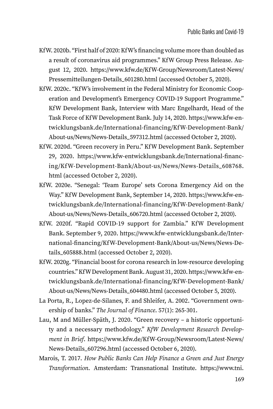- KfW. 2020b. "First half of 2020: KfW's financing volume more than doubled as a result of coronavirus aid programmes." KfW Group Press Release. August 12, 2020. [https://www.kfw.de/KfW-Group/Newsroom/Latest-News/](https://www.kfw.de/KfW-Group/Newsroom/Latest-News/Pressemitteilungen-Details_601280.html) [Pressemitteilungen-Details\\_601280.html](https://www.kfw.de/KfW-Group/Newsroom/Latest-News/Pressemitteilungen-Details_601280.html) (accessed October 5, 2020).
- KfW. 2020c. "KfW's involvement in the Federal Ministry for Economic Cooperation and Development's Emergency COVID-19 Support Programme." KfW Development Bank, Interview with Marc Engelhardt, Head of the Task Force of KfW Development Bank. July 14, 2020. [https://www.kfw-en](https://www.kfw-entwicklungsbank.de/International-financing/KfW-Development-Bank/About-us/News/News-Details_597312.html)[twicklungsbank.de/International-financing/KfW-Development-Bank/](https://www.kfw-entwicklungsbank.de/International-financing/KfW-Development-Bank/About-us/News/News-Details_597312.html) [About-us/News/News-Details\\_597312.html](https://www.kfw-entwicklungsbank.de/International-financing/KfW-Development-Bank/About-us/News/News-Details_597312.html) (accessed October 2, 2020).
- KfW. 2020d. "Green recovery in Peru." KfW Development Bank. September 29, 2020. [https://www.kfw-entwicklungsbank.de/International-financ](https://www.kfw-entwicklungsbank.de/International-financing/KfW-Development-Bank/About-us/News/News-Details_608768.html)[ing/KfW-Development-Bank/About-us/News/News-Details\\_608768.](https://www.kfw-entwicklungsbank.de/International-financing/KfW-Development-Bank/About-us/News/News-Details_608768.html) [html](https://www.kfw-entwicklungsbank.de/International-financing/KfW-Development-Bank/About-us/News/News-Details_608768.html) (accessed October 2, 2020).
- KfW. 2020e. "Senegal: 'Team Europe' sets Corona Emergency Aid on the Way." KfW Development Bank, September 14, 2020. [https://www.kfw-en](https://www.kfw-entwicklungsbank.de/International-financing/KfW-Development-Bank/About-us/News/News-Details_606720.html)[twicklungsbank.de/International-financing/KfW-Development-Bank/](https://www.kfw-entwicklungsbank.de/International-financing/KfW-Development-Bank/About-us/News/News-Details_606720.html) [About-us/News/News-Details\\_606720.html](https://www.kfw-entwicklungsbank.de/International-financing/KfW-Development-Bank/About-us/News/News-Details_606720.html) (accessed October 2, 2020).
- KfW. 2020f. "Rapid COVID-19 support for Zambia." KfW Development Bank. September 9, 2020. [https://www.kfw-entwicklungsbank.de/Inter](https://www.kfw-entwicklungsbank.de/International-financing/KfW-Development-Bank/About-us/News/News-Details_605888.html)[national-financing/KfW-Development-Bank/About-us/News/News-De](https://www.kfw-entwicklungsbank.de/International-financing/KfW-Development-Bank/About-us/News/News-Details_605888.html)[tails\\_605888.html](https://www.kfw-entwicklungsbank.de/International-financing/KfW-Development-Bank/About-us/News/News-Details_605888.html) (accessed October 2, 2020).
- KfW. 2020g. "Financial boost for corona research in low-resource developing countries." KfW Development Bank. August 31, 2020. [https://www.kfw-en](https://www.kfw-entwicklungsbank.de/International-financing/KfW-Development-Bank/About-us/News/News-Details_604480.html)[twicklungsbank.de/International-financing/KfW-Development-Bank/](https://www.kfw-entwicklungsbank.de/International-financing/KfW-Development-Bank/About-us/News/News-Details_604480.html) [About-us/News/News-Details\\_604480.html](https://www.kfw-entwicklungsbank.de/International-financing/KfW-Development-Bank/About-us/News/News-Details_604480.html) (accessed October 5, 2020).
- La Porta, R., Lopez-de-Silanes, F. and Shleifer, A. 2002. "Government ownership of banks." *The Journal of Finance*. 57(1): 265-301.
- Lau, M and Müller-Späth, J. 2020. "Green recovery a historic opportunity and a necessary methodology." *KfW Development Research Development in Brief*. [https://www.kfw.de/KfW-Group/Newsroom/Latest-News/](https://www.kfw.de/KfW-Group/Newsroom/Latest-News/News-Details_607296.html) [News-Details\\_607296.html](https://www.kfw.de/KfW-Group/Newsroom/Latest-News/News-Details_607296.html) (accessed October 6, 2020).
- Marois, T. 2017. *How Public Banks Can Help Finance a Green and Just Energy Transformation*. Amsterdam: Transnational Institute. [https://www.tni.](https://www.tni.org/en/publication/how-public-banks-can-help-finance-a-green-and-just-energy-transformation)